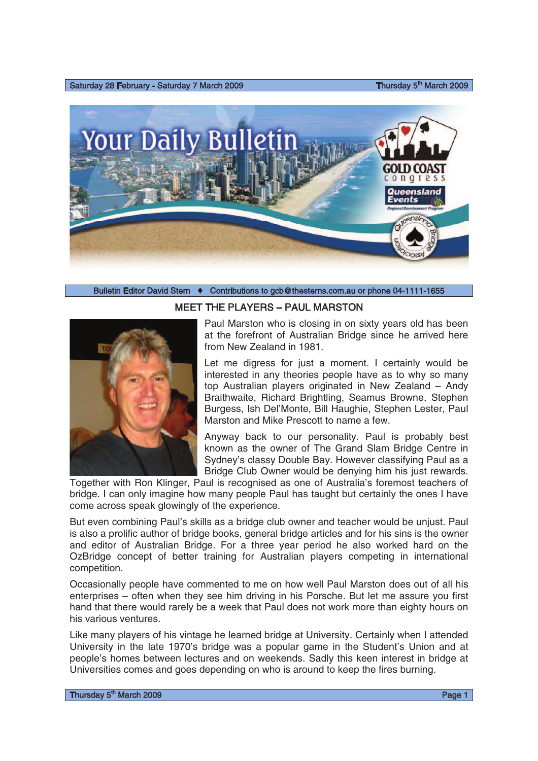Saturday 28 February - Saturday 7 March 2009

Thursday 5<sup>th</sup> March 2009



## Bulletin Editor David Stern  $\leftrightarrow$  Contributions to gcb@thesterns.com.au or phone 04-1111-1655



MEET THE PLAYERS – PAUL MARSTON

Paul Marston who is closing in on sixty years old has been at the forefront of Australian Bridge since he arrived here from New Zealand in 1981.

Let me digress for just a moment. I certainly would be interested in any theories people have as to why so many top Australian players originated in New Zealand – Andy Braithwaite, Richard Brightling, Seamus Browne, Stephen Burgess, Ish Del'Monte, Bill Haughie, Stephen Lester, Paul Marston and Mike Prescott to name a few.

Anyway back to our personality. Paul is probably best known as the owner of The Grand Slam Bridge Centre in Sydney's classy Double Bay. However classifying Paul as a Bridge Club Owner would be denying him his just rewards.

Together with Ron Klinger, Paul is recognised as one of Australia's foremost teachers of bridge. I can only imagine how many people Paul has taught but certainly the ones I have come across speak glowingly of the experience.

But even combining Paul's skills as a bridge club owner and teacher would be unjust. Paul is also a prolific author of bridge books, general bridge articles and for his sins is the owner and editor of Australian Bridge. For a three year period he also worked hard on the OzBridge concept of better training for Australian players competing in international competition.

Occasionally people have commented to me on how well Paul Marston does out of all his enterprises – often when they see him driving in his Porsche. But let me assure you first hand that there would rarely be a week that Paul does not work more than eighty hours on his various ventures.

Like many players of his vintage he learned bridge at University. Certainly when I attended University in the late 1970's bridge was a popular game in the Student's Union and at people's homes between lectures and on weekends. Sadly this keen interest in bridge at Universities comes and goes depending on who is around to keep the fires burning.